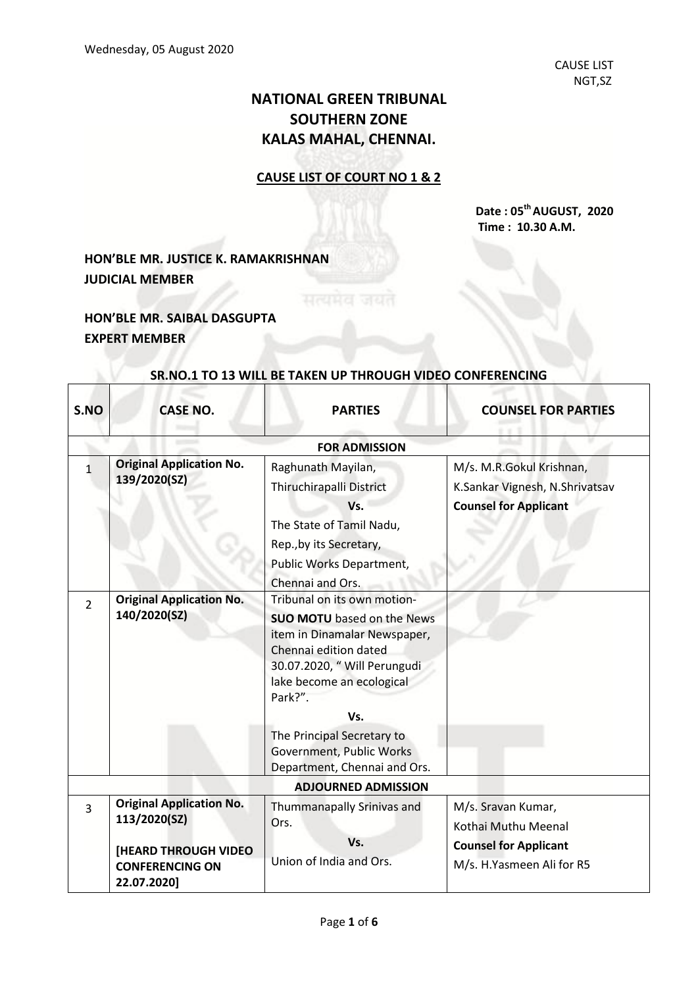## **NATIONAL GREEN TRIBUNAL SOUTHERN ZONE KALAS MAHAL, CHENNAI.**

## **CAUSE LIST OF COURT NO 1 & 2**

**Date : 05thAUGUST, 2020 Time : 10.30 A.M.**

## **HON'BLE MR. JUSTICE K. RAMAKRISHNAN JUDICIAL MEMBER**

**HON'BLE MR. SAIBAL DASGUPTA EXPERT MEMBER**

Г

| S.NO                       | <b>CASE NO.</b>                                                                | <b>PARTIES</b>                                                                                                                                                                                                                         | <b>COUNSEL FOR PARTIES</b>                                                                 |  |  |
|----------------------------|--------------------------------------------------------------------------------|----------------------------------------------------------------------------------------------------------------------------------------------------------------------------------------------------------------------------------------|--------------------------------------------------------------------------------------------|--|--|
|                            | <b>FOR ADMISSION</b>                                                           |                                                                                                                                                                                                                                        |                                                                                            |  |  |
| 1                          | <b>Original Application No.</b><br>139/2020(SZ)                                | Raghunath Mayilan,<br>Thiruchirapalli District<br>Vs.<br>The State of Tamil Nadu,<br>Rep., by its Secretary,<br>Public Works Department,<br>Chennai and Ors.                                                                           | M/s. M.R.Gokul Krishnan,<br>K.Sankar Vignesh, N.Shrivatsav<br><b>Counsel for Applicant</b> |  |  |
| $\overline{2}$             | <b>Original Application No.</b><br>140/2020(SZ)                                | Tribunal on its own motion-<br><b>SUO MOTU</b> based on the News<br>item in Dinamalar Newspaper,<br>Chennai edition dated<br>30.07.2020, " Will Perungudi<br>lake become an ecological<br>Park?".<br>Vs.<br>The Principal Secretary to |                                                                                            |  |  |
|                            |                                                                                | Government, Public Works<br>Department, Chennai and Ors.                                                                                                                                                                               |                                                                                            |  |  |
| <b>ADJOURNED ADMISSION</b> |                                                                                |                                                                                                                                                                                                                                        |                                                                                            |  |  |
| $\overline{3}$             | <b>Original Application No.</b><br>113/2020(SZ)<br><b>[HEARD THROUGH VIDEO</b> | Thummanapally Srinivas and<br>Ors.<br>Vs.                                                                                                                                                                                              | M/s. Sravan Kumar,<br>Kothai Muthu Meenal<br><b>Counsel for Applicant</b>                  |  |  |
|                            | <b>CONFERENCING ON</b><br>22.07.2020]                                          | Union of India and Ors.                                                                                                                                                                                                                | M/s. H.Yasmeen Ali for R5                                                                  |  |  |

## **SR.NO.1 TO 13 WILL BE TAKEN UP THROUGH VIDEO CONFERENCING**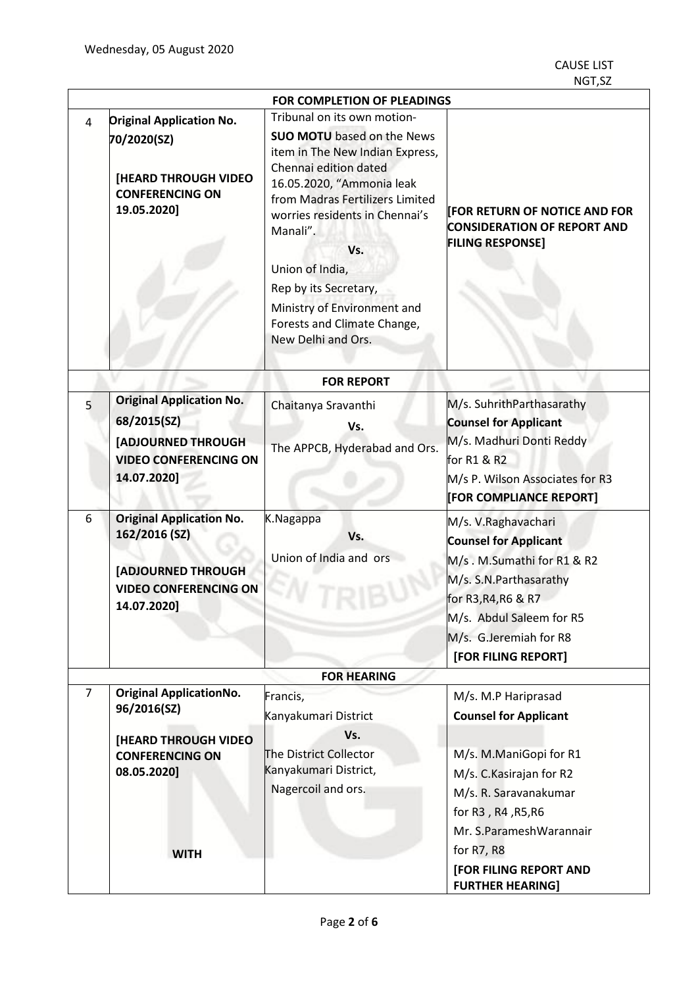| <b>FOR COMPLETION OF PLEADINGS</b> |                                                                                                                       |                                                                                                                                                                                                                                                                                                                                                    |                                                                                                                                                                                                                  |  |
|------------------------------------|-----------------------------------------------------------------------------------------------------------------------|----------------------------------------------------------------------------------------------------------------------------------------------------------------------------------------------------------------------------------------------------------------------------------------------------------------------------------------------------|------------------------------------------------------------------------------------------------------------------------------------------------------------------------------------------------------------------|--|
| 4                                  | <b>Original Application No.</b>                                                                                       | Tribunal on its own motion-                                                                                                                                                                                                                                                                                                                        |                                                                                                                                                                                                                  |  |
|                                    | 70/2020(SZ)<br><b>[HEARD THROUGH VIDEO</b><br><b>CONFERENCING ON</b><br>19.05.2020]                                   | <b>SUO MOTU</b> based on the News<br>item in The New Indian Express,<br>Chennai edition dated<br>16.05.2020, "Ammonia leak<br>from Madras Fertilizers Limited<br>worries residents in Chennai's<br>Manali".<br>Vs.<br>Union of India,<br>Rep by its Secretary,<br>Ministry of Environment and<br>Forests and Climate Change,<br>New Delhi and Ors. | <b>[FOR RETURN OF NOTICE AND FOR</b><br><b>CONSIDERATION OF REPORT AND</b><br><b>FILING RESPONSE]</b>                                                                                                            |  |
|                                    |                                                                                                                       | <b>FOR REPORT</b>                                                                                                                                                                                                                                                                                                                                  |                                                                                                                                                                                                                  |  |
| 5                                  | <b>Original Application No.</b>                                                                                       | Chaitanya Sravanthi                                                                                                                                                                                                                                                                                                                                | M/s. SuhrithParthasarathy                                                                                                                                                                                        |  |
|                                    | 68/2015(SZ)                                                                                                           | Vs.                                                                                                                                                                                                                                                                                                                                                | <b>Counsel for Applicant</b>                                                                                                                                                                                     |  |
|                                    | [ADJOURNED THROUGH                                                                                                    | The APPCB, Hyderabad and Ors.                                                                                                                                                                                                                                                                                                                      | M/s. Madhuri Donti Reddy                                                                                                                                                                                         |  |
|                                    | <b>VIDEO CONFERENCING ON</b><br>14.07.2020]                                                                           |                                                                                                                                                                                                                                                                                                                                                    | for R1 & R2<br>M/s P. Wilson Associates for R3                                                                                                                                                                   |  |
|                                    |                                                                                                                       |                                                                                                                                                                                                                                                                                                                                                    | [FOR COMPLIANCE REPORT]                                                                                                                                                                                          |  |
| 6                                  | <b>Original Application No.</b><br>162/2016 (SZ)<br>[ADJOURNED THROUGH<br><b>VIDEO CONFERENCING ON</b><br>14.07.2020] | K.Nagappa<br>Vs.<br>Union of India and ors                                                                                                                                                                                                                                                                                                         | M/s. V.Raghavachari<br><b>Counsel for Applicant</b><br>M/s. M.Sumathi for R1 & R2<br>M/s. S.N. Parthasarathy<br>for R3, R4, R6 & R7<br>M/s. Abdul Saleem for R5<br>M/s. G.Jeremiah for R8<br>[FOR FILING REPORT] |  |
| <b>FOR HEARING</b>                 |                                                                                                                       |                                                                                                                                                                                                                                                                                                                                                    |                                                                                                                                                                                                                  |  |
| $\overline{7}$                     | <b>Original ApplicationNo.</b><br>96/2016(SZ)                                                                         | Francis,<br>Kanyakumari District                                                                                                                                                                                                                                                                                                                   | M/s. M.P Hariprasad<br><b>Counsel for Applicant</b>                                                                                                                                                              |  |
|                                    | [HEARD THROUGH VIDEO<br><b>CONFERENCING ON</b><br>08.05.2020]                                                         | Vs.<br>The District Collector<br>Kanyakumari District,<br>Nagercoil and ors.                                                                                                                                                                                                                                                                       | M/s. M.ManiGopi for R1<br>M/s. C. Kasirajan for R2<br>M/s. R. Saravanakumar<br>for R3, R4, R5, R6<br>Mr. S.ParameshWarannair                                                                                     |  |
|                                    | <b>WITH</b>                                                                                                           |                                                                                                                                                                                                                                                                                                                                                    | for R7, R8<br>[FOR FILING REPORT AND<br><b>FURTHER HEARING]</b>                                                                                                                                                  |  |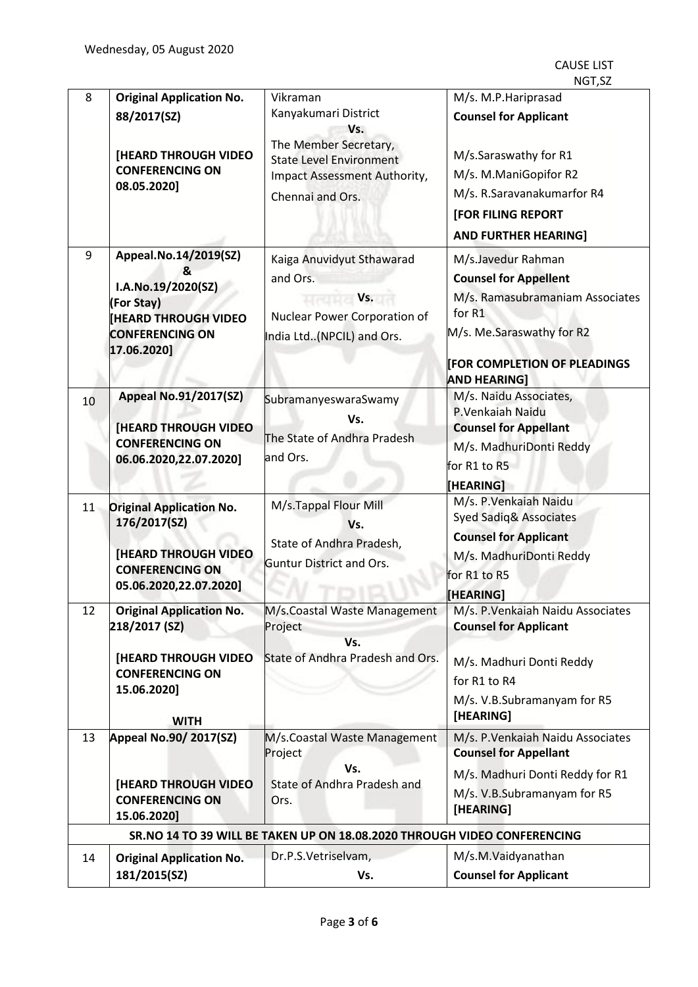CAUSE LIST NGT,SZ

| 8  | <b>Original Application No.</b>                                                                              | Vikraman                                                                                                           | M/s. M.P. Hariprasad                                                                                                                         |
|----|--------------------------------------------------------------------------------------------------------------|--------------------------------------------------------------------------------------------------------------------|----------------------------------------------------------------------------------------------------------------------------------------------|
|    | 88/2017(SZ)                                                                                                  | Kanyakumari District                                                                                               | <b>Counsel for Applicant</b>                                                                                                                 |
|    | <b>[HEARD THROUGH VIDEO</b><br><b>CONFERENCING ON</b><br>08.05.2020]                                         | Vs.<br>The Member Secretary,<br><b>State Level Environment</b><br>Impact Assessment Authority,<br>Chennai and Ors. | M/s.Saraswathy for R1<br>M/s. M.ManiGopifor R2<br>M/s. R.Saravanakumarfor R4<br><b>[FOR FILING REPORT</b><br><b>AND FURTHER HEARING]</b>     |
| 9  | Appeal.No.14/2019(SZ)                                                                                        | Kaiga Anuvidyut Sthawarad                                                                                          | M/s.Javedur Rahman                                                                                                                           |
|    | &<br>I.A.No.19/2020(SZ)<br>(For Stay)<br><b>HEARD THROUGH VIDEO</b><br><b>CONFERENCING ON</b><br>17.06.2020] | and Ors.<br>$\mathsf{V}$ s.<br>Nuclear Power Corporation of<br>India Ltd(NPCIL) and Ors.                           | <b>Counsel for Appellent</b><br>M/s. Ramasubramaniam Associates<br>for R1<br>M/s. Me.Saraswathy for R2<br><b>FOR COMPLETION OF PLEADINGS</b> |
|    | <b>Appeal No.91/2017(SZ)</b>                                                                                 |                                                                                                                    | <b>AND HEARING]</b><br>M/s. Naidu Associates,                                                                                                |
| 10 | <b>[HEARD THROUGH VIDEO</b><br><b>CONFERENCING ON</b><br>06.06.2020,22.07.2020]                              | SubramanyeswaraSwamy<br>Vs.<br>The State of Andhra Pradesh<br>and Ors.                                             | P.Venkaiah Naidu<br><b>Counsel for Appellant</b><br>M/s. MadhuriDonti Reddy<br>for R1 to R5<br>[HEARING]                                     |
| 11 | <b>Original Application No.</b>                                                                              | M/s.Tappal Flour Mill                                                                                              | M/s. P. Venkaiah Naidu                                                                                                                       |
|    | 176/2017(SZ)<br><b>[HEARD THROUGH VIDEO</b><br><b>CONFERENCING ON</b><br>05.06.2020,22.07.2020]              | Vs.<br>State of Andhra Pradesh,<br><b>Guntur District and Ors.</b>                                                 | <b>Syed Sadiq&amp; Associates</b><br><b>Counsel for Applicant</b><br>M/s. MadhuriDonti Reddy<br>for R1 to R5<br>[HEARING]                    |
| 12 | <b>Original Application No.</b>                                                                              |                                                                                                                    | M/s.Coastal Waste Management   M/s. P.Venkaiah Naidu Associates                                                                              |
|    | 218/2017 (SZ)<br><b>[HEARD THROUGH VIDEO]</b><br><b>CONFERENCING ON</b><br>15.06.2020]<br><b>WITH</b>        | Project<br>Vs.<br>State of Andhra Pradesh and Ors.                                                                 | <b>Counsel for Applicant</b><br>M/s. Madhuri Donti Reddy<br>for R1 to R4<br>M/s. V.B.Subramanyam for R5<br>[HEARING]                         |
| 13 | <b>Appeal No.90/2017(SZ)</b>                                                                                 | M/s.Coastal Waste Management                                                                                       | M/s. P. Venkaiah Naidu Associates                                                                                                            |
|    | <b>[HEARD THROUGH VIDEO</b><br><b>CONFERENCING ON</b><br>15.06.2020]                                         | Project<br>Vs.<br>State of Andhra Pradesh and<br>Ors.                                                              | <b>Counsel for Appellant</b><br>M/s. Madhuri Donti Reddy for R1<br>M/s. V.B.Subramanyam for R5<br>[HEARING]                                  |
|    |                                                                                                              | SR.NO 14 TO 39 WILL BE TAKEN UP ON 18.08.2020 THROUGH VIDEO CONFERENCING                                           |                                                                                                                                              |
| 14 | <b>Original Application No.</b>                                                                              | Dr.P.S.Vetriselvam,                                                                                                | M/s.M.Vaidyanathan                                                                                                                           |
|    | 181/2015(SZ)                                                                                                 | Vs.                                                                                                                | <b>Counsel for Applicant</b>                                                                                                                 |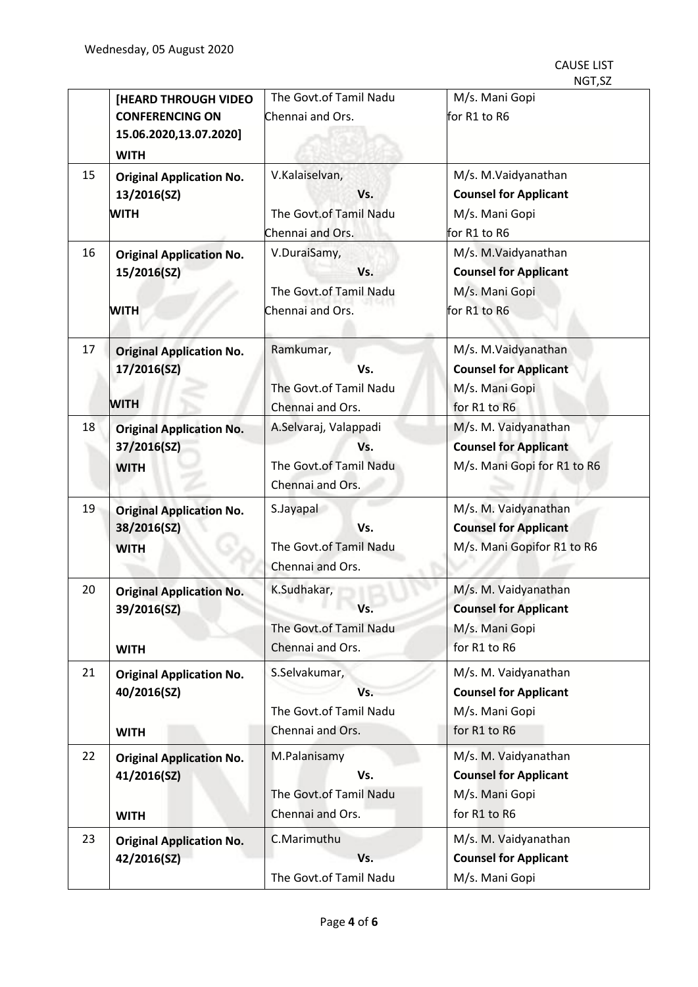|    |                                 |                        | <i>אכ</i> , ו טעו            |
|----|---------------------------------|------------------------|------------------------------|
|    | <b>[HEARD THROUGH VIDEO</b>     | The Govt.of Tamil Nadu | M/s. Mani Gopi               |
|    | <b>CONFERENCING ON</b>          | Chennai and Ors.       | for R1 to R6                 |
|    | 15.06.2020,13.07.2020]          |                        |                              |
|    | <b>WITH</b>                     |                        |                              |
| 15 | <b>Original Application No.</b> | V.Kalaiselvan,         | M/s. M.Vaidyanathan          |
|    | 13/2016(SZ)                     | Vs.                    | <b>Counsel for Applicant</b> |
|    | <b>WITH</b>                     | The Govt.of Tamil Nadu | M/s. Mani Gopi               |
|    |                                 | Chennai and Ors.       | for R1 to R6                 |
| 16 | <b>Original Application No.</b> | V.DuraiSamy,           | M/s. M.Vaidyanathan          |
|    | 15/2016(SZ)                     | Vs.                    | <b>Counsel for Applicant</b> |
|    |                                 | The Govt.of Tamil Nadu | M/s. Mani Gopi               |
|    | <b>WITH</b>                     | Chennai and Ors.       | for R1 to R6                 |
|    |                                 |                        |                              |
| 17 | <b>Original Application No.</b> | Ramkumar,              | M/s. M.Vaidyanathan          |
|    | 17/2016(SZ)                     | Vs.                    | <b>Counsel for Applicant</b> |
|    |                                 |                        |                              |
|    | <b>WITH</b>                     | The Govt.of Tamil Nadu | M/s. Mani Gopi               |
|    |                                 | Chennai and Ors.       | for R1 to R6                 |
| 18 | <b>Original Application No.</b> | A.Selvaraj, Valappadi  | M/s. M. Vaidyanathan         |
|    | 37/2016(SZ)                     | Vs.                    | <b>Counsel for Applicant</b> |
|    | <b>WITH</b>                     | The Govt.of Tamil Nadu | M/s. Mani Gopi for R1 to R6  |
|    |                                 | Chennai and Ors.       |                              |
| 19 | <b>Original Application No.</b> | S.Jayapal              | M/s. M. Vaidyanathan         |
|    | 38/2016(SZ)                     | Vs.                    | <b>Counsel for Applicant</b> |
|    | <b>WITH</b>                     | The Govt.of Tamil Nadu | M/s. Mani Gopifor R1 to R6   |
|    |                                 | Chennai and Ors.       |                              |
| 20 | <b>Original Application No.</b> | K.Sudhakar,            | M/s. M. Vaidyanathan         |
|    | 39/2016(SZ)                     |                        | <b>Counsel for Applicant</b> |
|    |                                 | The Govt.of Tamil Nadu | M/s. Mani Gopi               |
|    | <b>WITH</b>                     | Chennai and Ors.       | for R1 to R6                 |
|    |                                 |                        |                              |
| 21 | <b>Original Application No.</b> | S.Selvakumar,          | M/s. M. Vaidyanathan         |
|    | 40/2016(SZ)                     | Vs.                    | <b>Counsel for Applicant</b> |
|    |                                 | The Govt.of Tamil Nadu | M/s. Mani Gopi               |
|    | <b>WITH</b>                     | Chennai and Ors.       | for R1 to R6                 |
| 22 | <b>Original Application No.</b> | M.Palanisamy           | M/s. M. Vaidyanathan         |
|    | 41/2016(SZ)                     | Vs.                    | <b>Counsel for Applicant</b> |
|    |                                 | The Govt.of Tamil Nadu | M/s. Mani Gopi               |
|    | <b>WITH</b>                     | Chennai and Ors.       | for R1 to R6                 |
| 23 | <b>Original Application No.</b> | C.Marimuthu            | M/s. M. Vaidyanathan         |
|    | 42/2016(SZ)                     | Vs.                    | <b>Counsel for Applicant</b> |
|    |                                 | The Govt.of Tamil Nadu | M/s. Mani Gopi               |
|    |                                 |                        |                              |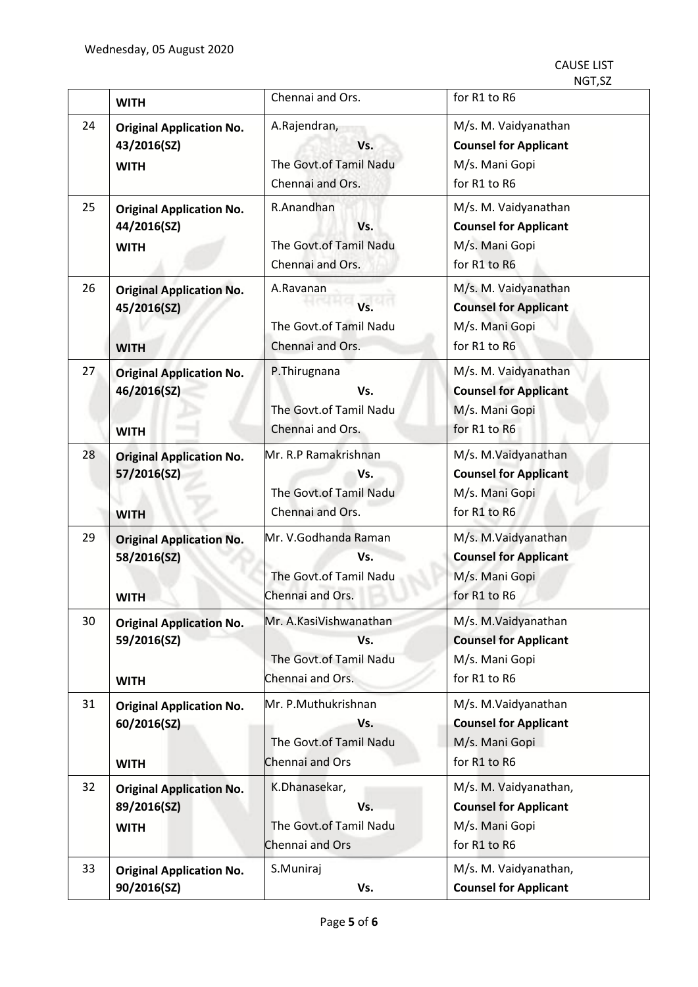CAUSE LIST NGT,SZ

|    | <b>WITH</b>                                                   | Chennai and Ors.                                                            | for R1 to R6                                                                            |
|----|---------------------------------------------------------------|-----------------------------------------------------------------------------|-----------------------------------------------------------------------------------------|
| 24 | <b>Original Application No.</b><br>43/2016(SZ)<br><b>WITH</b> | A.Rajendran,<br>Vs.<br>The Govt.of Tamil Nadu<br>Chennai and Ors.           | M/s. M. Vaidyanathan<br><b>Counsel for Applicant</b><br>M/s. Mani Gopi<br>for R1 to R6  |
| 25 | <b>Original Application No.</b><br>44/2016(SZ)<br><b>WITH</b> | R.Anandhan<br>Vs.<br>The Govt.of Tamil Nadu<br>Chennai and Ors.             | M/s. M. Vaidyanathan<br><b>Counsel for Applicant</b><br>M/s. Mani Gopi<br>for R1 to R6  |
| 26 | <b>Original Application No.</b><br>45/2016(SZ)<br><b>WITH</b> | A.Ravanan<br>Vs.<br>The Govt.of Tamil Nadu<br>Chennai and Ors.              | M/s. M. Vaidyanathan<br><b>Counsel for Applicant</b><br>M/s. Mani Gopi<br>for R1 to R6  |
| 27 | <b>Original Application No.</b><br>46/2016(SZ)<br><b>WITH</b> | P.Thirugnana<br>Vs.<br>The Govt.of Tamil Nadu<br>Chennai and Ors.           | M/s. M. Vaidyanathan<br><b>Counsel for Applicant</b><br>M/s. Mani Gopi<br>for R1 to R6  |
| 28 | <b>Original Application No.</b><br>57/2016(SZ)<br><b>WITH</b> | Mr. R.P Ramakrishnan<br>Vs.<br>The Govt.of Tamil Nadu<br>Chennai and Ors.   | M/s. M.Vaidyanathan<br><b>Counsel for Applicant</b><br>M/s. Mani Gopi<br>for R1 to R6   |
| 29 | <b>Original Application No.</b><br>58/2016(SZ)<br><b>WITH</b> | Mr. V.Godhanda Raman<br>Vs.<br>The Govt.of Tamil Nadu<br>Chennai and Ors.   | M/s. M.Vaidyanathan<br><b>Counsel for Applicant</b><br>M/s. Mani Gopi<br>for R1 to R6   |
| 30 | <b>Original Application No.</b><br>59/2016(SZ)<br><b>WITH</b> | Mr. A.KasiVishwanathan<br>Vs.<br>The Govt.of Tamil Nadu<br>Chennai and Ors. | M/s. M.Vaidyanathan<br><b>Counsel for Applicant</b><br>M/s. Mani Gopi<br>for R1 to R6   |
| 31 | <b>Original Application No.</b><br>60/2016(SZ)<br><b>WITH</b> | Mr. P.Muthukrishnan<br>Vs.<br>The Govt.of Tamil Nadu<br>Chennai and Ors     | M/s. M.Vaidyanathan<br><b>Counsel for Applicant</b><br>M/s. Mani Gopi<br>for R1 to R6   |
| 32 | <b>Original Application No.</b><br>89/2016(SZ)<br><b>WITH</b> | K.Dhanasekar,<br>Vs.<br>The Govt.of Tamil Nadu<br>Chennai and Ors           | M/s. M. Vaidyanathan,<br><b>Counsel for Applicant</b><br>M/s. Mani Gopi<br>for R1 to R6 |
| 33 | <b>Original Application No.</b><br>90/2016(SZ)                | S.Muniraj<br>Vs.                                                            | M/s. M. Vaidyanathan,<br><b>Counsel for Applicant</b>                                   |